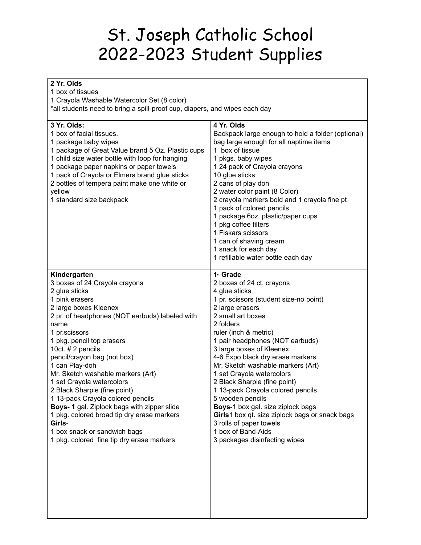## St. Joseph Catholic School 2022-2023 Student Supplies

## **Yr. Olds**

 box of tissues Crayola Washable Watercolor Set (8 color) \*all students need to bring a spill-proof cup, diapers, and wipes each day **Yr. Olds: Yr. Olds**

| 11. VIUS.<br>1 box of facial tissues.<br>1 package baby wipes<br>1 package of Great Value brand 5 Oz. Plastic cups<br>1 child size water bottle with loop for hanging<br>1 package paper napkins or paper towels<br>1 pack of Crayola or Elmers brand glue sticks<br>2 bottles of tempera paint make one white or<br>yellow<br>1 standard size backpack<br>Kindergarten | Backpack large enough to hold a folder (optional)<br>bag large enough for all naptime items<br>1 box of tissue<br>1 pkgs. baby wipes<br>1 24 pack of Crayola crayons<br>10 glue sticks<br>2 cans of play doh<br>2 water color paint (8 Color)<br>2 crayola markers bold and 1 crayola fine pt<br>1 pack of colored pencils<br>1 package 6oz. plastic/paper cups<br>1 pkg coffee filters<br>1 Fiskars scissors<br>1 can of shaving cream<br>1 snack for each day<br>1 refillable water bottle each day<br>1st Grade |
|-------------------------------------------------------------------------------------------------------------------------------------------------------------------------------------------------------------------------------------------------------------------------------------------------------------------------------------------------------------------------|--------------------------------------------------------------------------------------------------------------------------------------------------------------------------------------------------------------------------------------------------------------------------------------------------------------------------------------------------------------------------------------------------------------------------------------------------------------------------------------------------------------------|
| 3 boxes of 24 Crayola crayons<br>2 glue sticks                                                                                                                                                                                                                                                                                                                          | 2 boxes of 24 ct. crayons<br>4 glue sticks                                                                                                                                                                                                                                                                                                                                                                                                                                                                         |
| 1 pink erasers                                                                                                                                                                                                                                                                                                                                                          | 1 pr. scissors (student size-no point)                                                                                                                                                                                                                                                                                                                                                                                                                                                                             |
| 2 large boxes Kleenex                                                                                                                                                                                                                                                                                                                                                   | 2 large erasers                                                                                                                                                                                                                                                                                                                                                                                                                                                                                                    |
| 2 pr. of headphones (NOT earbuds) labeled with                                                                                                                                                                                                                                                                                                                          | 2 small art boxes                                                                                                                                                                                                                                                                                                                                                                                                                                                                                                  |
| name                                                                                                                                                                                                                                                                                                                                                                    | 2 folders                                                                                                                                                                                                                                                                                                                                                                                                                                                                                                          |
| 1 pr.scissors                                                                                                                                                                                                                                                                                                                                                           | ruler (inch & metric)                                                                                                                                                                                                                                                                                                                                                                                                                                                                                              |
| 1 pkg. pencil top erasers<br>10ct. # 2 pencils                                                                                                                                                                                                                                                                                                                          | 1 pair headphones (NOT earbuds)<br>3 large boxes of Kleenex                                                                                                                                                                                                                                                                                                                                                                                                                                                        |
| pencil/crayon bag (not box)                                                                                                                                                                                                                                                                                                                                             | 4-6 Expo black dry erase markers                                                                                                                                                                                                                                                                                                                                                                                                                                                                                   |
| 1 can Play-doh                                                                                                                                                                                                                                                                                                                                                          | Mr. Sketch washable markers (Art)                                                                                                                                                                                                                                                                                                                                                                                                                                                                                  |
| Mr. Sketch washable markers (Art)                                                                                                                                                                                                                                                                                                                                       | 1 set Crayola watercolors                                                                                                                                                                                                                                                                                                                                                                                                                                                                                          |
| 1 set Crayola watercolors                                                                                                                                                                                                                                                                                                                                               | 2 Black Sharpie (fine point)                                                                                                                                                                                                                                                                                                                                                                                                                                                                                       |
| 2 Black Sharpie (fine point)                                                                                                                                                                                                                                                                                                                                            | 113-pack Crayola colored pencils                                                                                                                                                                                                                                                                                                                                                                                                                                                                                   |
| 113-pack Crayola colored pencils                                                                                                                                                                                                                                                                                                                                        | 5 wooden pencils                                                                                                                                                                                                                                                                                                                                                                                                                                                                                                   |
| Boys- 1 gal. Ziplock bags with zipper slide                                                                                                                                                                                                                                                                                                                             | Boys-1 box gal. size ziplock bags                                                                                                                                                                                                                                                                                                                                                                                                                                                                                  |
| 1 pkg. colored broad tip dry erase markers<br>Girls-                                                                                                                                                                                                                                                                                                                    | Girls1 box qt. size ziplock bags or snack bags<br>3 rolls of paper towels                                                                                                                                                                                                                                                                                                                                                                                                                                          |
| 1 box snack or sandwich bags                                                                                                                                                                                                                                                                                                                                            | 1 box of Band-Aids                                                                                                                                                                                                                                                                                                                                                                                                                                                                                                 |
| 1 pkg. colored fine tip dry erase markers                                                                                                                                                                                                                                                                                                                               | 3 packages disinfecting wipes                                                                                                                                                                                                                                                                                                                                                                                                                                                                                      |
|                                                                                                                                                                                                                                                                                                                                                                         |                                                                                                                                                                                                                                                                                                                                                                                                                                                                                                                    |